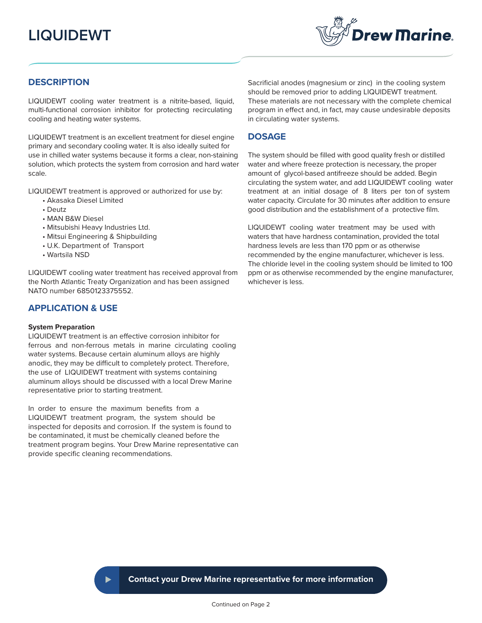# **LIQUIDEWT**



# **DESCRIPTION**

LIQUIDEWT cooling water treatment is a nitrite-based, liquid, multi-functional corrosion inhibitor for protecting recirculating cooling and heating water systems.

LIQUIDEWT treatment is an excellent treatment for diesel engine primary and secondary cooling water. It is also ideally suited for use in chilled water systems because it forms a clear, non-staining solution, which protects the system from corrosion and hard water scale.

LIQUIDEWT treatment is approved or authorized for use by:

- Akasaka Diesel Limited
- Deutz
- MAN B&W Diesel
- Mitsubishi Heavy Industries Ltd.
- Mitsui Engineering & Shipbuilding
- U.K. Department of Transport
- Wartsila NSD

LIQUIDEWT cooling water treatment has received approval from the North Atlantic Treaty Organization and has been assigned NATO number 6850123375552.

# **APPLICATION & USE**

#### **System Preparation**

LIQUIDEWT treatment is an effective corrosion inhibitor for ferrous and non-ferrous metals in marine circulating cooling water systems. Because certain aluminum alloys are highly anodic, they may be difficult to completely protect. Therefore, the use of LIQUIDEWT treatment with systems containing aluminum alloys should be discussed with a local Drew Marine representative prior to starting treatment.

In order to ensure the maximum benefits from a LIQUIDEWT treatment program, the system should be inspected for deposits and corrosion. If the system is found to be contaminated, it must be chemically cleaned before the treatment program begins. Your Drew Marine representative can provide specific cleaning recommendations.

Sacrificial anodes (magnesium or zinc) in the cooling system should be removed prior to adding LIQUIDEWT treatment. These materials are not necessary with the complete chemical program in effect and, in fact, may cause undesirable deposits in circulating water systems.

#### **DOSAGE**

The system should be filled with good quality fresh or distilled water and where freeze protection is necessary, the proper amount of glycol-based antifreeze should be added. Begin circulating the system water, and add LIQUIDEWT cooling water treatment at an initial dosage of 8 liters per ton of system water capacity. Circulate for 30 minutes after addition to ensure good distribution and the establishment of a protective film.

LIQUIDEWT cooling water treatment may be used with waters that have hardness contamination, provided the total hardness levels are less than 170 ppm or as otherwise recommended by the engine manufacturer, whichever is less. The chloride level in the cooling system should be limited to 100 ppm or as otherwise recommended by the engine manufacturer, whichever is less.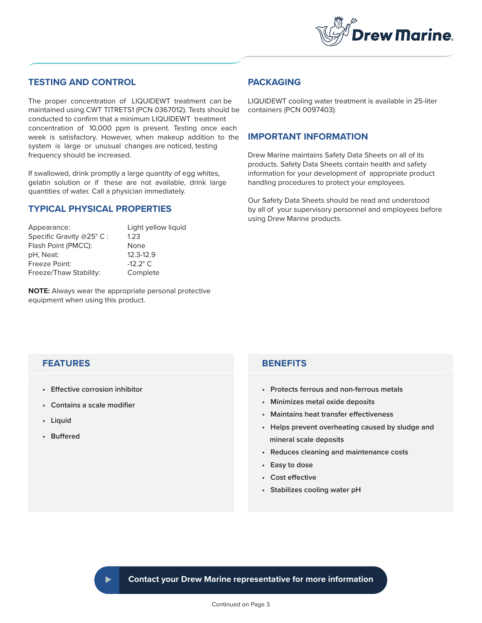

# **TESTING AND CONTROL**

The proper concentration of LIQUIDEWT treatment can be maintained using CWT TITRETS1 (PCN 0367012). Tests should be conducted to confirm that a minimum LIQUIDEWT treatment concentration of 10,000 ppm is present. Testing once each week is satisfactory. However, when makeup addition to the system is large or unusual changes are noticed, testing frequency should be increased.

If swallowed, drink promptly a large quantity of egg whites, gelatin solution or if these are not available, drink large quantities of water. Call a physician immediately.

# **TYPICAL PHYSICAL PROPERTIES**

Appearance: Light yellow liquid Specific Gravity @25° C: 1.23 Flash Point (PMCC): None pH, Neat: 12.3-12.9 Freeze Point: -12.2° C Freeze/Thaw Stability: Complete

**NOTE:** Always wear the appropriate personal protective equipment when using this product.

# **PACKAGING**

LIQUIDEWT cooling water treatment is available in 25-liter containers (PCN 0097403).

### **IMPORTANT INFORMATION**

Drew Marine maintains Safety Data Sheets on all of its products. Safety Data Sheets contain health and safety information for your development of appropriate product handling procedures to protect your employees.

Our Safety Data Sheets should be read and understood by all of your supervisory personnel and employees before using Drew Marine products.

# **FEATURES**

- **Effective corrosion inhibitor**
- **Contains a scale modifier**
- **Liquid**
- **Buffered**

# **BENEFITS**

- **Protects ferrous and non-ferrous metals**
- **Minimizes metal oxide deposits**
- **Maintains heat transfer effectiveness**
- **Helps prevent overheating caused by sludge and mineral scale deposits**
- **Reduces cleaning and maintenance costs**
- **Easy to dose**
- **Cost effective**
- **Stabilizes cooling water pH**

**Contact your Drew Marine representative for more information**